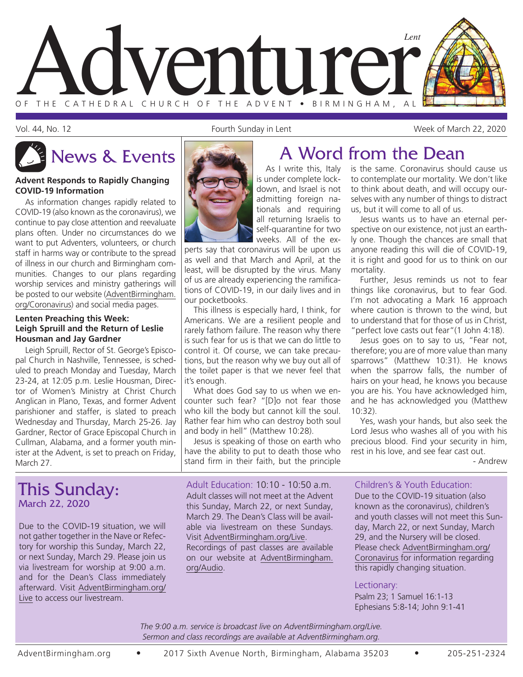

Vol. 44, No. 12 Fourth Sunday in Lent Week of March 22, 2020

#### **Advent Responds to Rapidly Changing COVID-19 Information**

As information changes rapidly related to COVID-19 (also known as the coronavirus), we continue to pay close attention and reevaluate plans often. Under no circumstances do we want to put Adventers, volunteers, or church staff in harms way or contribute to the spread of illness in our church and Birmingham communities. Changes to our plans regarding worship services and ministry gatherings will be posted to our website (AdventBirmingham. org/Coronavirus) and social media pages.

#### **Lenten Preaching this Week: Leigh Spruill and the Return of Leslie Housman and Jay Gardner**

Leigh Spruill, Rector of St. George's Episcopal Church in Nashville, Tennessee, is scheduled to preach Monday and Tuesday, March 23-24, at 12:05 p.m. Leslie Housman, Director of Women's Ministry at Christ Church Anglican in Plano, Texas, and former Advent parishioner and staffer, is slated to preach Wednesday and Thursday, March 25-26. Jay Gardner, Rector of Grace Episcopal Church in Cullman, Alabama, and a former youth minister at the Advent, is set to preach on Friday, March 27.

### This Sunday: March 22, 2020

Due to the COVID-19 situation, we will not gather together in the Nave or Refectory for worship this Sunday, March 22, or next Sunday, March 29. Please join us via livestream for worship at 9:00 a.m. and for the Dean's Class immediately afterward. Visit AdventBirmingham.org/ Live to access our livestream.

As I write this, Italy is under complete lockdown, and Israel is not admitting foreign nationals and requiring all returning Israelis to self-quarantine for two weeks. All of the ex-

perts say that coronavirus will be upon us as well and that March and April, at the least, will be disrupted by the virus. Many of us are already experiencing the ramifications of COVID-19, in our daily lives and in our pocketbooks.

This illness is especially hard, I think, for Americans. We are a resilient people and rarely fathom failure. The reason why there is such fear for us is that we can do little to control it. Of course, we can take precautions, but the reason why we buy out all of the toilet paper is that we never feel that it's enough.

What does God say to us when we encounter such fear? "[D]o not fear those who kill the body but cannot kill the soul. Rather fear him who can destroy both soul and body in hell" (Matthew 10:28).

Jesus is speaking of those on earth who have the ability to put to death those who stand firm in their faith, but the principle

Adult Education: 10:10 - 10:50 a.m. Adult classes will not meet at the Advent this Sunday, March 22, or next Sunday, March 29. The Dean's Class will be available via livestream on these Sundays. Visit AdventBirmingham.org/Live. Recordings of past classes are available

on our website at AdventBirmingham. org/Audio.

# News & Events  $\left\| \begin{array}{ccc} & A \end{array} \right\|$  A Word from the Dean

is the same. Coronavirus should cause us to contemplate our mortality. We don't like to think about death, and will occupy ourselves with any number of things to distract us, but it will come to all of us.

Jesus wants us to have an eternal perspective on our existence, not just an earthly one. Though the chances are small that anyone reading this will die of COVID-19, it is right and good for us to think on our mortality.

Further, Jesus reminds us not to fear things like coronavirus, but to fear God. I'm not advocating a Mark 16 approach where caution is thrown to the wind, but to understand that for those of us in Christ, "perfect love casts out fear"(1 John 4:18).

Jesus goes on to say to us, "Fear not, therefore; you are of more value than many sparrows" (Matthew 10:31). He knows when the sparrow falls, the number of hairs on your head, he knows you because you are his. You have acknowledged him, and he has acknowledged you (Matthew 10:32).

Yes, wash your hands, but also seek the Lord Jesus who washes all of you with his precious blood. Find your security in him, rest in his love, and see fear cast out.

- Andrew

### Children's & Youth Education:

Due to the COVID-19 situation (also known as the coronavirus), children's and youth classes will not meet this Sunday, March 22, or next Sunday, March 29, and the Nursery will be closed. Please check AdventBirmingham.org/ Coronavirus for information regarding this rapidly changing situation.

### Lectionary:

Psalm 23; 1 Samuel 16:1-13 Ephesians 5:8-14; John 9:1-41

*The 9:00 a.m. service is broadcast live on AdventBirmingham.org/Live. Sermon and class recordings are available at AdventBirmingham.org.*